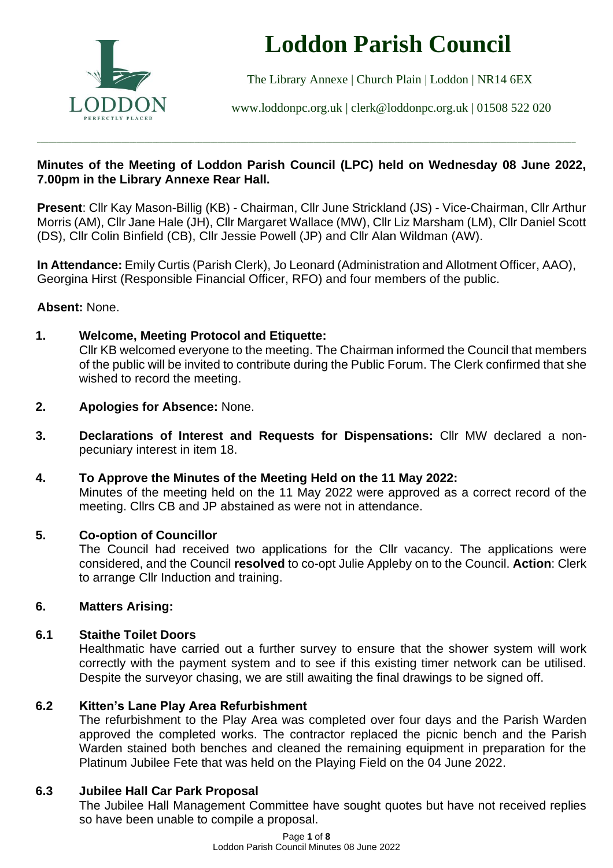

# **Loddon Parish Council**

The Library Annexe | Church Plain | Loddon | NR14 6EX

[www.loddonpc.org.uk](http://www.loddonpc.org.uk/) | [clerk@loddonpc.org.uk](mailto:clerk@loddonpc.org.uk) | 01508 522 020

# **Minutes of the Meeting of Loddon Parish Council (LPC) held on Wednesday 08 June 2022, 7.00pm in the Library Annexe Rear Hall.**

\_\_\_\_\_\_\_\_\_\_\_\_\_\_\_\_\_\_\_\_\_\_\_\_\_\_\_\_\_\_\_\_\_\_\_\_\_\_\_\_\_\_\_\_\_\_\_\_\_\_\_\_\_\_\_\_\_\_\_\_\_\_\_\_\_\_\_\_\_\_\_\_\_\_\_\_\_\_\_\_\_\_\_\_\_\_\_\_\_\_\_\_\_\_\_\_\_\_\_\_\_\_\_\_\_\_\_\_\_\_\_\_\_\_\_\_\_\_\_\_\_\_\_\_\_\_\_\_\_\_\_\_\_\_\_\_\_\_\_\_

**Present**: Cllr Kay Mason-Billig (KB) - Chairman, Cllr June Strickland (JS) - Vice-Chairman, Cllr Arthur Morris (AM), Cllr Jane Hale (JH), Cllr Margaret Wallace (MW), Cllr Liz Marsham (LM), Cllr Daniel Scott (DS), Cllr Colin Binfield (CB), Cllr Jessie Powell (JP) and Cllr Alan Wildman (AW).

**In Attendance:** Emily Curtis (Parish Clerk), Jo Leonard (Administration and Allotment Officer, AAO), Georgina Hirst (Responsible Financial Officer, RFO) and four members of the public.

# **Absent:** None.

# **1. Welcome, Meeting Protocol and Etiquette:**

Cllr KB welcomed everyone to the meeting. The Chairman informed the Council that members of the public will be invited to contribute during the Public Forum. The Clerk confirmed that she wished to record the meeting.

# **2. Apologies for Absence:** None.

**3. Declarations of Interest and Requests for Dispensations:** Cllr MW declared a nonpecuniary interest in item 18.

# **4. To Approve the Minutes of the Meeting Held on the 11 May 2022:**

Minutes of the meeting held on the 11 May 2022 were approved as a correct record of the meeting. Cllrs CB and JP abstained as were not in attendance.

# **5. Co-option of Councillor**

The Council had received two applications for the Cllr vacancy. The applications were considered, and the Council **resolved** to co-opt Julie Appleby on to the Council. **Action**: Clerk to arrange Cllr Induction and training.

# **6. Matters Arising:**

# **6.1 Staithe Toilet Doors**

Healthmatic have carried out a further survey to ensure that the shower system will work correctly with the payment system and to see if this existing timer network can be utilised. Despite the surveyor chasing, we are still awaiting the final drawings to be signed off.

# **6.2 Kitten's Lane Play Area Refurbishment**

The refurbishment to the Play Area was completed over four days and the Parish Warden approved the completed works. The contractor replaced the picnic bench and the Parish Warden stained both benches and cleaned the remaining equipment in preparation for the Platinum Jubilee Fete that was held on the Playing Field on the 04 June 2022.

# **6.3 Jubilee Hall Car Park Proposal**

The Jubilee Hall Management Committee have sought quotes but have not received replies so have been unable to compile a proposal.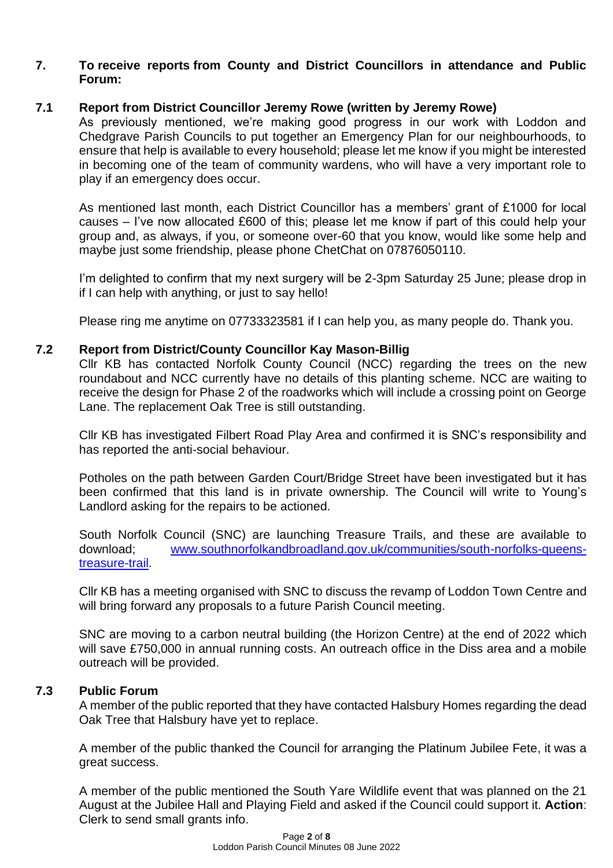# **7. To receive reports from County and District Councillors in attendance and Public Forum:**

# **7.1 Report from District Councillor Jeremy Rowe (written by Jeremy Rowe)**

As previously mentioned, we're making good progress in our work with Loddon and Chedgrave Parish Councils to put together an Emergency Plan for our neighbourhoods, to ensure that help is available to every household; please let me know if you might be interested in becoming one of the team of community wardens, who will have a very important role to play if an emergency does occur.

As mentioned last month, each District Councillor has a members' grant of £1000 for local causes – I've now allocated £600 of this; please let me know if part of this could help your group and, as always, if you, or someone over-60 that you know, would like some help and maybe just some friendship, please phone ChetChat on 07876050110.

I'm delighted to confirm that my next surgery will be 2-3pm Saturday 25 June; please drop in if I can help with anything, or just to say hello!

Please ring me anytime on 07733323581 if I can help you, as many people do. Thank you.

# **7.2 Report from District/County Councillor Kay Mason-Billig**

Cllr KB has contacted Norfolk County Council (NCC) regarding the trees on the new roundabout and NCC currently have no details of this planting scheme. NCC are waiting to receive the design for Phase 2 of the roadworks which will include a crossing point on George Lane. The replacement Oak Tree is still outstanding.

Cllr KB has investigated Filbert Road Play Area and confirmed it is SNC's responsibility and has reported the anti-social behaviour.

Potholes on the path between Garden Court/Bridge Street have been investigated but it has been confirmed that this land is in private ownership. The Council will write to Young's Landlord asking for the repairs to be actioned.

South Norfolk Council (SNC) are launching Treasure Trails, and these are available to download; [www.southnorfolkandbroadland.gov.uk/communities/south-norfolks-queens](http://www.southnorfolkandbroadland.gov.uk/communities/south-norfolks-queens-treasure-trail)[treasure-trail.](http://www.southnorfolkandbroadland.gov.uk/communities/south-norfolks-queens-treasure-trail)

Cllr KB has a meeting organised with SNC to discuss the revamp of Loddon Town Centre and will bring forward any proposals to a future Parish Council meeting.

SNC are moving to a carbon neutral building (the Horizon Centre) at the end of 2022 which will save £750,000 in annual running costs. An outreach office in the Diss area and a mobile outreach will be provided.

# **7.3 Public Forum**

A member of the public reported that they have contacted Halsbury Homes regarding the dead Oak Tree that Halsbury have yet to replace.

A member of the public thanked the Council for arranging the Platinum Jubilee Fete, it was a great success.

A member of the public mentioned the South Yare Wildlife event that was planned on the 21 August at the Jubilee Hall and Playing Field and asked if the Council could support it. **Action**: Clerk to send small grants info.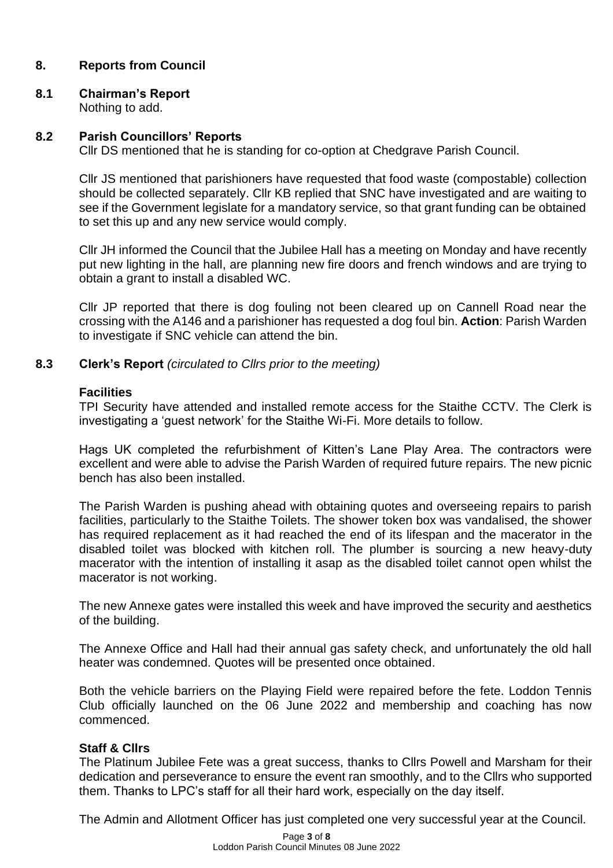# **8. Reports from Council**

# **8.1 Chairman's Report**

Nothing to add.

# **8.2 Parish Councillors' Reports**

Cllr DS mentioned that he is standing for co-option at Chedgrave Parish Council.

Cllr JS mentioned that parishioners have requested that food waste (compostable) collection should be collected separately. Cllr KB replied that SNC have investigated and are waiting to see if the Government legislate for a mandatory service, so that grant funding can be obtained to set this up and any new service would comply.

Cllr JH informed the Council that the Jubilee Hall has a meeting on Monday and have recently put new lighting in the hall, are planning new fire doors and french windows and are trying to obtain a grant to install a disabled WC.

Cllr JP reported that there is dog fouling not been cleared up on Cannell Road near the crossing with the A146 and a parishioner has requested a dog foul bin. **Action**: Parish Warden to investigate if SNC vehicle can attend the bin.

# **8.3 Clerk's Report** *(circulated to Cllrs prior to the meeting)*

#### **Facilities**

TPI Security have attended and installed remote access for the Staithe CCTV. The Clerk is investigating a 'guest network' for the Staithe Wi-Fi. More details to follow.

Hags UK completed the refurbishment of Kitten's Lane Play Area. The contractors were excellent and were able to advise the Parish Warden of required future repairs. The new picnic bench has also been installed.

The Parish Warden is pushing ahead with obtaining quotes and overseeing repairs to parish facilities, particularly to the Staithe Toilets. The shower token box was vandalised, the shower has required replacement as it had reached the end of its lifespan and the macerator in the disabled toilet was blocked with kitchen roll. The plumber is sourcing a new heavy-duty macerator with the intention of installing it asap as the disabled toilet cannot open whilst the macerator is not working.

The new Annexe gates were installed this week and have improved the security and aesthetics of the building.

The Annexe Office and Hall had their annual gas safety check, and unfortunately the old hall heater was condemned. Quotes will be presented once obtained.

Both the vehicle barriers on the Playing Field were repaired before the fete. Loddon Tennis Club officially launched on the 06 June 2022 and membership and coaching has now commenced.

# **Staff & Cllrs**

The Platinum Jubilee Fete was a great success, thanks to Cllrs Powell and Marsham for their dedication and perseverance to ensure the event ran smoothly, and to the Cllrs who supported them. Thanks to LPC's staff for all their hard work, especially on the day itself.

The Admin and Allotment Officer has just completed one very successful year at the Council.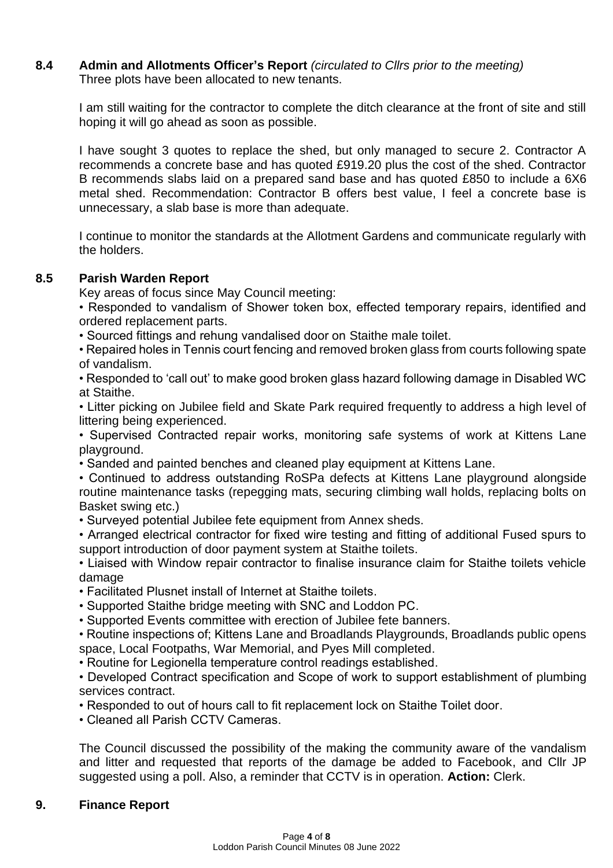# **8.4 Admin and Allotments Officer's Report** *(circulated to Cllrs prior to the meeting)* Three plots have been allocated to new tenants.

I am still waiting for the contractor to complete the ditch clearance at the front of site and still hoping it will go ahead as soon as possible.

I have sought 3 quotes to replace the shed, but only managed to secure 2. Contractor A recommends a concrete base and has quoted £919.20 plus the cost of the shed. Contractor B recommends slabs laid on a prepared sand base and has quoted £850 to include a 6X6 metal shed. Recommendation: Contractor B offers best value, I feel a concrete base is unnecessary, a slab base is more than adequate.

I continue to monitor the standards at the Allotment Gardens and communicate regularly with the holders.

#### **8.5 Parish Warden Report**

Key areas of focus since May Council meeting:

• Responded to vandalism of Shower token box, effected temporary repairs, identified and ordered replacement parts.

• Sourced fittings and rehung vandalised door on Staithe male toilet.

• Repaired holes in Tennis court fencing and removed broken glass from courts following spate of vandalism.

• Responded to 'call out' to make good broken glass hazard following damage in Disabled WC at Staithe.

• Litter picking on Jubilee field and Skate Park required frequently to address a high level of littering being experienced.

• Supervised Contracted repair works, monitoring safe systems of work at Kittens Lane playground.

• Sanded and painted benches and cleaned play equipment at Kittens Lane.

• Continued to address outstanding RoSPa defects at Kittens Lane playground alongside routine maintenance tasks (repegging mats, securing climbing wall holds, replacing bolts on Basket swing etc.)

• Surveyed potential Jubilee fete equipment from Annex sheds.

• Arranged electrical contractor for fixed wire testing and fitting of additional Fused spurs to support introduction of door payment system at Staithe toilets.

• Liaised with Window repair contractor to finalise insurance claim for Staithe toilets vehicle damage

• Facilitated Plusnet install of Internet at Staithe toilets.

• Supported Staithe bridge meeting with SNC and Loddon PC.

• Supported Events committee with erection of Jubilee fete banners.

• Routine inspections of; Kittens Lane and Broadlands Playgrounds, Broadlands public opens space, Local Footpaths, War Memorial, and Pyes Mill completed.

• Routine for Legionella temperature control readings established.

• Developed Contract specification and Scope of work to support establishment of plumbing services contract.

• Responded to out of hours call to fit replacement lock on Staithe Toilet door.

• Cleaned all Parish CCTV Cameras.

The Council discussed the possibility of the making the community aware of the vandalism and litter and requested that reports of the damage be added to Facebook, and Cllr JP suggested using a poll. Also, a reminder that CCTV is in operation. **Action:** Clerk.

# **9. Finance Report**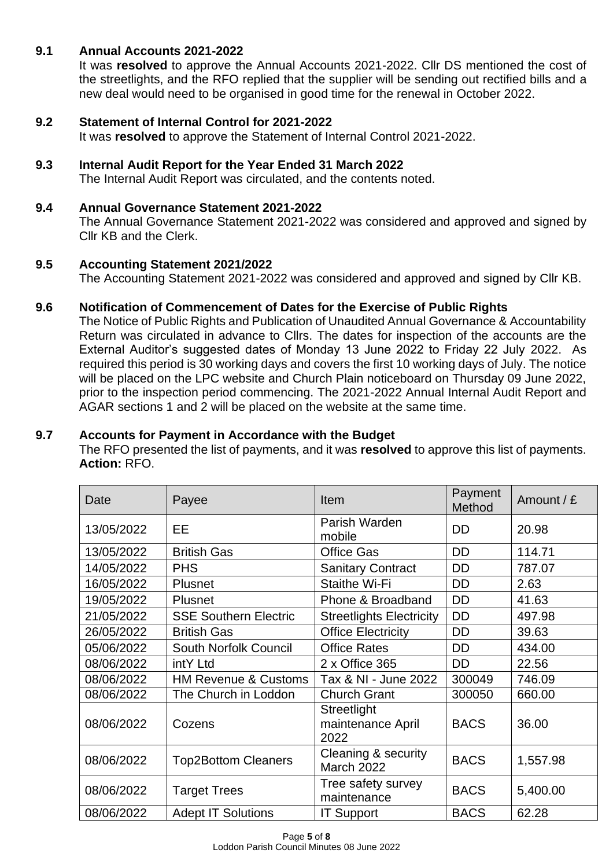# **9.1 Annual Accounts 2021-2022**

It was **resolved** to approve the Annual Accounts 2021-2022. Cllr DS mentioned the cost of the streetlights, and the RFO replied that the supplier will be sending out rectified bills and a new deal would need to be organised in good time for the renewal in October 2022.

# **9.2 Statement of Internal Control for 2021-2022**

It was **resolved** to approve the Statement of Internal Control 2021-2022.

# **9.3 Internal Audit Report for the Year Ended 31 March 2022**

The Internal Audit Report was circulated, and the contents noted.

#### **9.4 Annual Governance Statement 2021-2022**

The Annual Governance Statement 2021-2022 was considered and approved and signed by Cllr KB and the Clerk.

#### **9.5 Accounting Statement 2021/2022**

The Accounting Statement 2021-2022 was considered and approved and signed by Cllr KB.

# **9.6 Notification of Commencement of Dates for the Exercise of Public Rights**

The Notice of Public Rights and Publication of Unaudited Annual Governance & Accountability Return was circulated in advance to Cllrs. The dates for inspection of the accounts are the External Auditor's suggested dates of Monday 13 June 2022 to Friday 22 July 2022. As required this period is 30 working days and covers the first 10 working days of July. The notice will be placed on the LPC website and Church Plain noticeboard on Thursday 09 June 2022, prior to the inspection period commencing. The 2021-2022 Annual Internal Audit Report and AGAR sections 1 and 2 will be placed on the website at the same time.

# **9.7 Accounts for Payment in Accordance with the Budget**

The RFO presented the list of payments, and it was **resolved** to approve this list of payments. **Action:** RFO.

| Date       | Payee                           | Item                                     | Payment<br>Method | Amount / $E$ |
|------------|---------------------------------|------------------------------------------|-------------------|--------------|
| 13/05/2022 | EE                              | Parish Warden<br>mobile                  | DD                | 20.98        |
| 13/05/2022 | <b>British Gas</b>              | <b>Office Gas</b>                        | DD                | 114.71       |
| 14/05/2022 | <b>PHS</b>                      | <b>Sanitary Contract</b>                 | DD                | 787.07       |
| 16/05/2022 | <b>Plusnet</b>                  | Staithe Wi-Fi                            | DD                | 2.63         |
| 19/05/2022 | Plusnet                         | Phone & Broadband                        | DD                | 41.63        |
| 21/05/2022 | <b>SSE Southern Electric</b>    | <b>Streetlights Electricity</b>          | DD                | 497.98       |
| 26/05/2022 | <b>British Gas</b>              | <b>Office Electricity</b>                | DD                | 39.63        |
| 05/06/2022 | South Norfolk Council           | <b>Office Rates</b>                      | DD                | 434.00       |
| 08/06/2022 | intY Ltd                        | 2 x Office 365                           | DD                | 22.56        |
| 08/06/2022 | <b>HM Revenue &amp; Customs</b> | Tax & NI - June 2022                     | 300049            | 746.09       |
| 08/06/2022 | The Church in Loddon            | <b>Church Grant</b>                      | 300050            | 660.00       |
| 08/06/2022 | Cozens                          | Streetlight<br>maintenance April<br>2022 | <b>BACS</b>       | 36.00        |
| 08/06/2022 | <b>Top2Bottom Cleaners</b>      | Cleaning & security<br><b>March 2022</b> | <b>BACS</b>       | 1,557.98     |
| 08/06/2022 | <b>Target Trees</b>             | Tree safety survey<br>maintenance        | <b>BACS</b>       | 5,400.00     |
| 08/06/2022 | <b>Adept IT Solutions</b>       | <b>IT Support</b>                        | <b>BACS</b>       | 62.28        |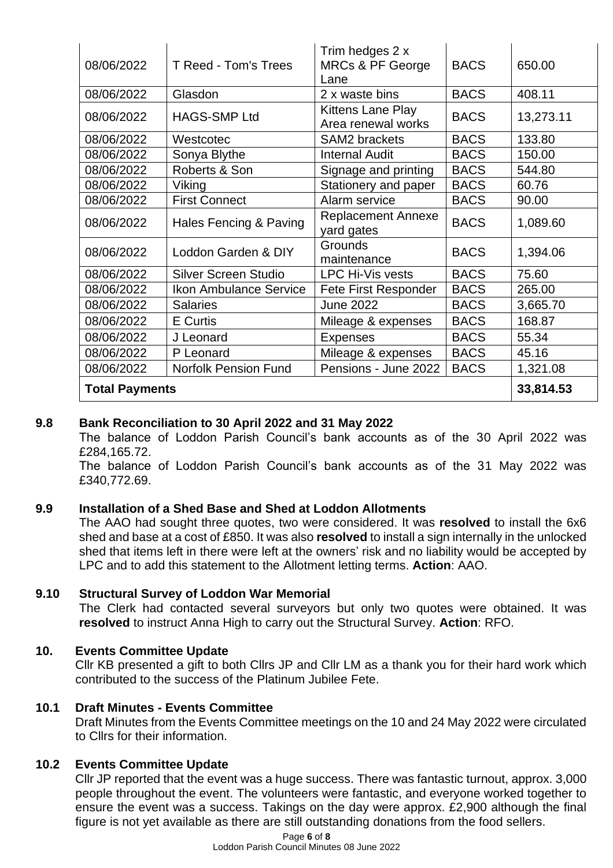| 08/06/2022            | T Reed - Tom's Trees          | Trim hedges 2 x<br><b>MRCs &amp; PF George</b><br>Lane | <b>BACS</b> | 650.00    |
|-----------------------|-------------------------------|--------------------------------------------------------|-------------|-----------|
| 08/06/2022            | Glasdon                       | 2 x waste bins                                         | <b>BACS</b> | 408.11    |
| 08/06/2022            | <b>HAGS-SMP Ltd</b>           | <b>Kittens Lane Play</b><br>Area renewal works         | <b>BACS</b> | 13,273.11 |
| 08/06/2022            | Westcotec                     | <b>SAM2</b> brackets                                   | <b>BACS</b> | 133.80    |
| 08/06/2022            | Sonya Blythe                  | <b>Internal Audit</b>                                  | <b>BACS</b> | 150.00    |
| 08/06/2022            | Roberts & Son                 | Signage and printing                                   | <b>BACS</b> | 544.80    |
| 08/06/2022            | Viking                        | Stationery and paper                                   | <b>BACS</b> | 60.76     |
| 08/06/2022            | <b>First Connect</b>          | Alarm service                                          | <b>BACS</b> | 90.00     |
| 08/06/2022            | Hales Fencing & Paving        | <b>Replacement Annexe</b><br>yard gates                | <b>BACS</b> | 1,089.60  |
| 08/06/2022            | Loddon Garden & DIY           | Grounds<br>maintenance                                 | <b>BACS</b> | 1,394.06  |
| 08/06/2022            | <b>Silver Screen Studio</b>   | <b>LPC Hi-Vis vests</b>                                | <b>BACS</b> | 75.60     |
| 08/06/2022            | <b>Ikon Ambulance Service</b> | Fete First Responder                                   | <b>BACS</b> | 265.00    |
| 08/06/2022            | <b>Salaries</b>               | <b>June 2022</b>                                       | <b>BACS</b> | 3,665.70  |
| 08/06/2022            | <b>E</b> Curtis               | Mileage & expenses                                     | <b>BACS</b> | 168.87    |
| 08/06/2022            | J Leonard                     | <b>Expenses</b>                                        | <b>BACS</b> | 55.34     |
| 08/06/2022            | P Leonard                     | Mileage & expenses                                     | <b>BACS</b> | 45.16     |
| 08/06/2022            | <b>Norfolk Pension Fund</b>   | Pensions - June 2022                                   | <b>BACS</b> | 1,321.08  |
| <b>Total Payments</b> | 33,814.53                     |                                                        |             |           |

# **9.8 Bank Reconciliation to 30 April 2022 and 31 May 2022**

The balance of Loddon Parish Council's bank accounts as of the 30 April 2022 was £284,165.72.

The balance of Loddon Parish Council's bank accounts as of the 31 May 2022 was £340,772.69.

#### **9.9 Installation of a Shed Base and Shed at Loddon Allotments**

The AAO had sought three quotes, two were considered. It was **resolved** to install the 6x6 shed and base at a cost of £850. It was also **resolved** to install a sign internally in the unlocked shed that items left in there were left at the owners' risk and no liability would be accepted by LPC and to add this statement to the Allotment letting terms. **Action**: AAO.

#### **9.10 Structural Survey of Loddon War Memorial**

The Clerk had contacted several surveyors but only two quotes were obtained. It was **resolved** to instruct Anna High to carry out the Structural Survey. **Action**: RFO.

#### **10. Events Committee Update**

Cllr KB presented a gift to both Cllrs JP and Cllr LM as a thank you for their hard work which contributed to the success of the Platinum Jubilee Fete.

# **10.1 Draft Minutes - Events Committee**

Draft Minutes from the Events Committee meetings on the 10 and 24 May 2022 were circulated to Cllrs for their information.

#### **10.2 Events Committee Update**

Cllr JP reported that the event was a huge success. There was fantastic turnout, approx. 3,000 people throughout the event. The volunteers were fantastic, and everyone worked together to ensure the event was a success. Takings on the day were approx. £2,900 although the final figure is not yet available as there are still outstanding donations from the food sellers.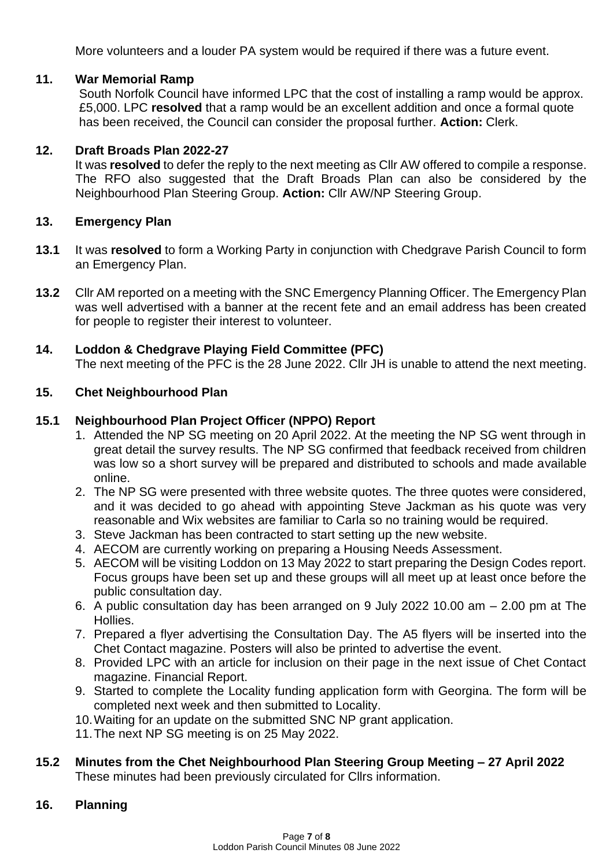More volunteers and a louder PA system would be required if there was a future event.

# **11. War Memorial Ramp**

South Norfolk Council have informed LPC that the cost of installing a ramp would be approx. £5,000. LPC **resolved** that a ramp would be an excellent addition and once a formal quote has been received, the Council can consider the proposal further. **Action:** Clerk.

# **12. Draft Broads Plan 2022-27**

It was **resolved** to defer the reply to the next meeting as Cllr AW offered to compile a response. The RFO also suggested that the Draft Broads Plan can also be considered by the Neighbourhood Plan Steering Group. **Action:** Cllr AW/NP Steering Group.

# **13. Emergency Plan**

- **13.1** It was **resolved** to form a Working Party in conjunction with Chedgrave Parish Council to form an Emergency Plan.
- **13.2** Cllr AM reported on a meeting with the SNC Emergency Planning Officer. The Emergency Plan was well advertised with a banner at the recent fete and an email address has been created for people to register their interest to volunteer.

# **14. Loddon & Chedgrave Playing Field Committee (PFC)**

The next meeting of the PFC is the 28 June 2022. Cllr JH is unable to attend the next meeting.

# **15. Chet Neighbourhood Plan**

# **15.1 Neighbourhood Plan Project Officer (NPPO) Report**

- 1. Attended the NP SG meeting on 20 April 2022. At the meeting the NP SG went through in great detail the survey results. The NP SG confirmed that feedback received from children was low so a short survey will be prepared and distributed to schools and made available online.
- 2. The NP SG were presented with three website quotes. The three quotes were considered, and it was decided to go ahead with appointing Steve Jackman as his quote was very reasonable and Wix websites are familiar to Carla so no training would be required.
- 3. Steve Jackman has been contracted to start setting up the new website.
- 4. AECOM are currently working on preparing a Housing Needs Assessment.
- 5. AECOM will be visiting Loddon on 13 May 2022 to start preparing the Design Codes report. Focus groups have been set up and these groups will all meet up at least once before the public consultation day.
- 6. A public consultation day has been arranged on 9 July 2022 10.00 am 2.00 pm at The Hollies.
- 7. Prepared a flyer advertising the Consultation Day. The A5 flyers will be inserted into the Chet Contact magazine. Posters will also be printed to advertise the event.
- 8. Provided LPC with an article for inclusion on their page in the next issue of Chet Contact magazine. Financial Report.
- 9. Started to complete the Locality funding application form with Georgina. The form will be completed next week and then submitted to Locality.
- 10.Waiting for an update on the submitted SNC NP grant application.
- 11.The next NP SG meeting is on 25 May 2022.
- **15.2 Minutes from the Chet Neighbourhood Plan Steering Group Meeting – 27 April 2022** These minutes had been previously circulated for Cllrs information.

# **16. Planning**